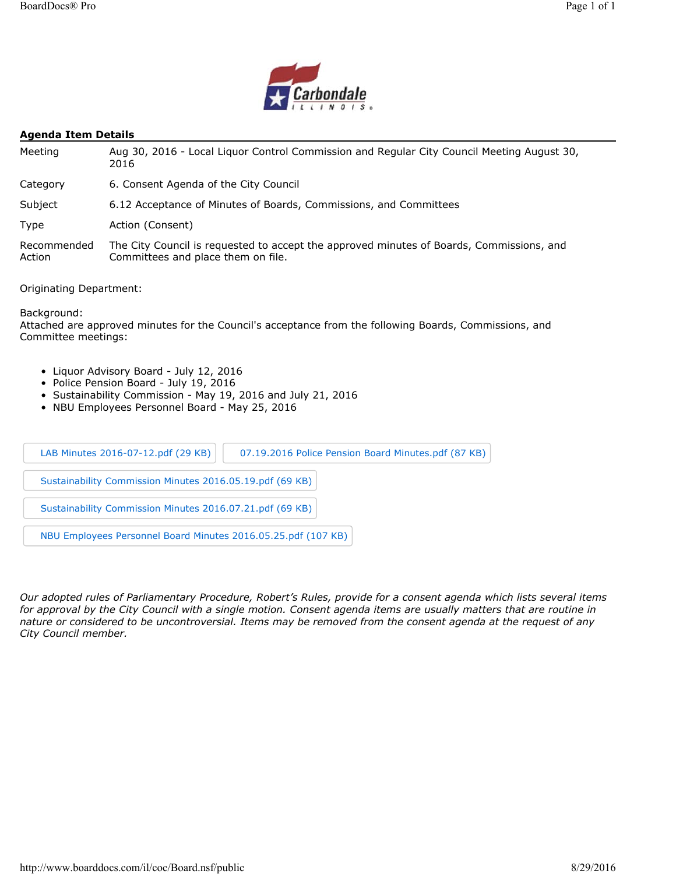

### **Agenda Item Details**

| Meeting               | Aug 30, 2016 - Local Liguor Control Commission and Regular City Council Meeting August 30,<br>2016                             |
|-----------------------|--------------------------------------------------------------------------------------------------------------------------------|
| Category              | 6. Consent Agenda of the City Council                                                                                          |
| Subject               | 6.12 Acceptance of Minutes of Boards, Commissions, and Committees                                                              |
| Type                  | Action (Consent)                                                                                                               |
| Recommended<br>Action | The City Council is requested to accept the approved minutes of Boards, Commissions, and<br>Committees and place them on file. |

Originating Department:

Background:

Attached are approved minutes for the Council's acceptance from the following Boards, Commissions, and Committee meetings:

- Liquor Advisory Board July 12, 2016
- Police Pension Board July 19, 2016
- Sustainability Commission May 19, 2016 and July 21, 2016
- NBU Employees Personnel Board May 25, 2016

| LAB Minutes 2016-07-12.pdf (29 KB)<br>07.19.2016 Police Pension Board Minutes.pdf (87 KB) |
|-------------------------------------------------------------------------------------------|
| Sustainability Commission Minutes 2016.05.19.pdf (69 KB)                                  |
| Sustainability Commission Minutes 2016.07.21.pdf (69 KB)                                  |
| NBU Employees Personnel Board Minutes 2016.05.25.pdf (107 KB)                             |

*Our adopted rules of Parliamentary Procedure, Robert's Rules, provide for a consent agenda which lists several items*  for approval by the City Council with a single motion. Consent agenda items are usually matters that are routine in *nature or considered to be uncontroversial. Items may be removed from the consent agenda at the request of any City Council member.*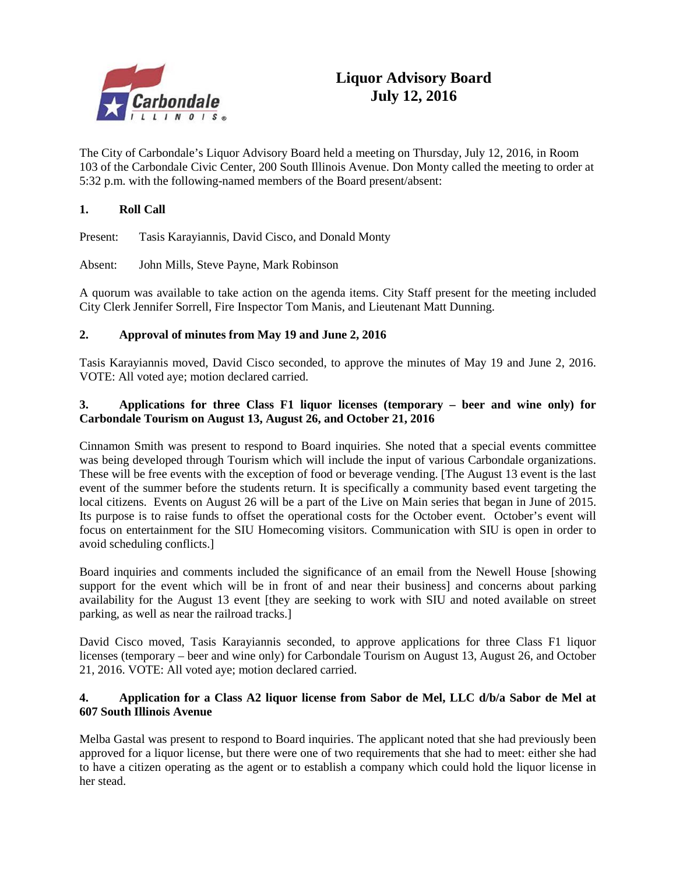

The City of Carbondale's Liquor Advisory Board held a meeting on Thursday, July 12, 2016, in Room 103 of the Carbondale Civic Center, 200 South Illinois Avenue. Don Monty called the meeting to order at 5:32 p.m. with the following-named members of the Board present/absent:

# **1. Roll Call**

Present: Tasis Karayiannis, David Cisco, and Donald Monty

Absent: John Mills, Steve Payne, Mark Robinson

A quorum was available to take action on the agenda items. City Staff present for the meeting included City Clerk Jennifer Sorrell, Fire Inspector Tom Manis, and Lieutenant Matt Dunning.

## **2. Approval of minutes from May 19 and June 2, 2016**

Tasis Karayiannis moved, David Cisco seconded, to approve the minutes of May 19 and June 2, 2016. VOTE: All voted aye; motion declared carried.

## **3. Applications for three Class F1 liquor licenses (temporary – beer and wine only) for Carbondale Tourism on August 13, August 26, and October 21, 2016**

Cinnamon Smith was present to respond to Board inquiries. She noted that a special events committee was being developed through Tourism which will include the input of various Carbondale organizations. These will be free events with the exception of food or beverage vending. [The August 13 event is the last event of the summer before the students return. It is specifically a community based event targeting the local citizens. Events on August 26 will be a part of the Live on Main series that began in June of 2015. Its purpose is to raise funds to offset the operational costs for the October event. October's event will focus on entertainment for the SIU Homecoming visitors. Communication with SIU is open in order to avoid scheduling conflicts.]

Board inquiries and comments included the significance of an email from the Newell House [showing support for the event which will be in front of and near their business] and concerns about parking availability for the August 13 event [they are seeking to work with SIU and noted available on street parking, as well as near the railroad tracks.]

David Cisco moved, Tasis Karayiannis seconded, to approve applications for three Class F1 liquor licenses (temporary – beer and wine only) for Carbondale Tourism on August 13, August 26, and October 21, 2016. VOTE: All voted aye; motion declared carried.

## **4. Application for a Class A2 liquor license from Sabor de Mel, LLC d/b/a Sabor de Mel at 607 South Illinois Avenue**

Melba Gastal was present to respond to Board inquiries. The applicant noted that she had previously been approved for a liquor license, but there were one of two requirements that she had to meet: either she had to have a citizen operating as the agent or to establish a company which could hold the liquor license in her stead.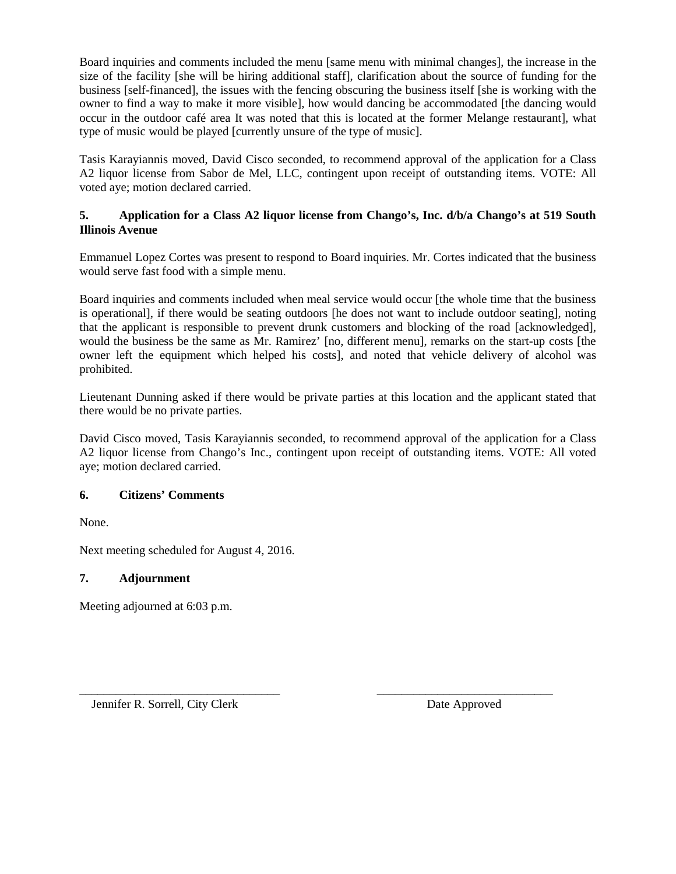Board inquiries and comments included the menu [same menu with minimal changes], the increase in the size of the facility [she will be hiring additional staff], clarification about the source of funding for the business [self-financed], the issues with the fencing obscuring the business itself [she is working with the owner to find a way to make it more visible], how would dancing be accommodated [the dancing would occur in the outdoor café area It was noted that this is located at the former Melange restaurant], what type of music would be played [currently unsure of the type of music].

Tasis Karayiannis moved, David Cisco seconded, to recommend approval of the application for a Class A2 liquor license from Sabor de Mel, LLC, contingent upon receipt of outstanding items. VOTE: All voted aye; motion declared carried.

# **5. Application for a Class A2 liquor license from Chango's, Inc. d/b/a Chango's at 519 South Illinois Avenue**

Emmanuel Lopez Cortes was present to respond to Board inquiries. Mr. Cortes indicated that the business would serve fast food with a simple menu.

Board inquiries and comments included when meal service would occur [the whole time that the business is operational], if there would be seating outdoors [he does not want to include outdoor seating], noting that the applicant is responsible to prevent drunk customers and blocking of the road [acknowledged], would the business be the same as Mr. Ramirez' [no, different menu], remarks on the start-up costs [the owner left the equipment which helped his costs], and noted that vehicle delivery of alcohol was prohibited.

Lieutenant Dunning asked if there would be private parties at this location and the applicant stated that there would be no private parties.

David Cisco moved, Tasis Karayiannis seconded, to recommend approval of the application for a Class A2 liquor license from Chango's Inc., contingent upon receipt of outstanding items. VOTE: All voted aye; motion declared carried.

# **6. Citizens' Comments**

None.

Next meeting scheduled for August 4, 2016.

## **7. Adjournment**

Meeting adjourned at 6:03 p.m.

\_\_\_\_\_\_\_\_\_\_\_\_\_\_\_\_\_\_\_\_\_\_\_\_\_\_\_\_\_\_\_\_\_ \_\_\_\_\_\_\_\_\_\_\_\_\_\_\_\_\_\_\_\_\_\_\_\_\_\_\_\_\_ Jennifer R. Sorrell, City Clerk Date Approved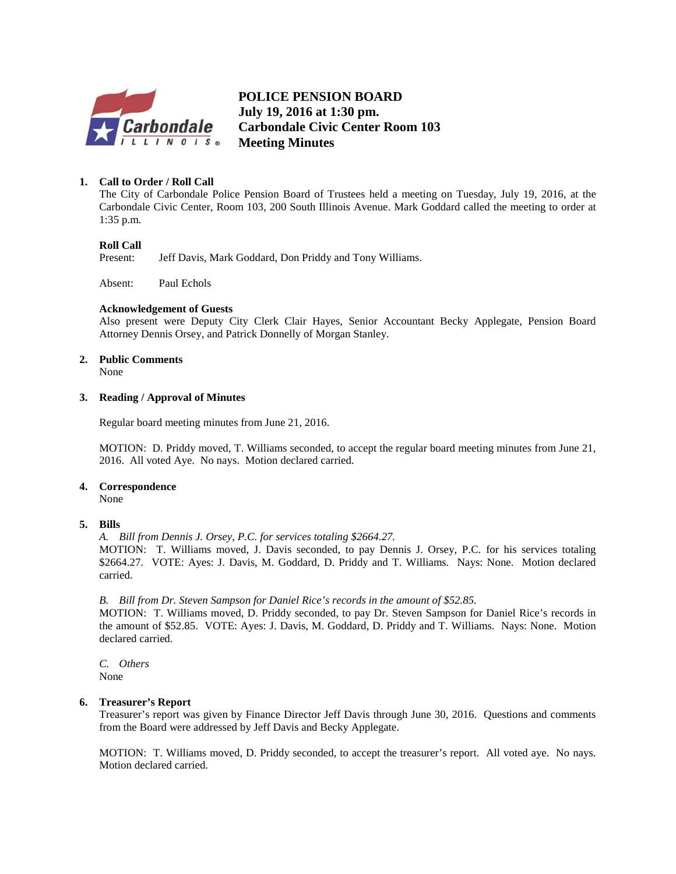

**B POLICE PENSION BOARD July 19, 2016 at 1:30 pm. Carbondale Civic Center Room 103 Meeting Minutes**

## **1. Call to Order / Roll Call**

The City of Carbondale Police Pension Board of Trustees held a meeting on Tuesday, July 19, 2016, at the Carbondale Civic Center, Room 103, 200 South Illinois Avenue. Mark Goddard called the meeting to order at 1:35 p.m.

### **Roll Call**

Present: Jeff Davis, Mark Goddard, Don Priddy and Tony Williams.

Absent: Paul Echols

### **Acknowledgement of Guests**

Also present were Deputy City Clerk Clair Hayes, Senior Accountant Becky Applegate, Pension Board Attorney Dennis Orsey, and Patrick Donnelly of Morgan Stanley.

### **2. Public Comments**

None

### **3. Reading / Approval of Minutes**

Regular board meeting minutes from June 21, 2016.

MOTION: D. Priddy moved, T. Williams seconded, to accept the regular board meeting minutes from June 21, 2016. All voted Aye. No nays. Motion declared carried.

## **4. Correspondence**

None

## **5. Bills**

*A. Bill from Dennis J. Orsey, P.C. for services totaling \$2664.27.*

MOTION: T. Williams moved, J. Davis seconded, to pay Dennis J. Orsey, P.C. for his services totaling \$2664.27. VOTE: Ayes: J. Davis, M. Goddard, D. Priddy and T. Williams. Nays: None. Motion declared carried.

### *B. Bill from Dr. Steven Sampson for Daniel Rice's records in the amount of \$52.85.*

MOTION: T. Williams moved, D. Priddy seconded, to pay Dr. Steven Sampson for Daniel Rice's records in the amount of \$52.85. VOTE: Ayes: J. Davis, M. Goddard, D. Priddy and T. Williams. Nays: None. Motion declared carried.

*C. Others* None

### **6. Treasurer's Report**

Treasurer's report was given by Finance Director Jeff Davis through June 30, 2016. Questions and comments from the Board were addressed by Jeff Davis and Becky Applegate.

MOTION: T. Williams moved, D. Priddy seconded, to accept the treasurer's report. All voted aye. No nays. Motion declared carried.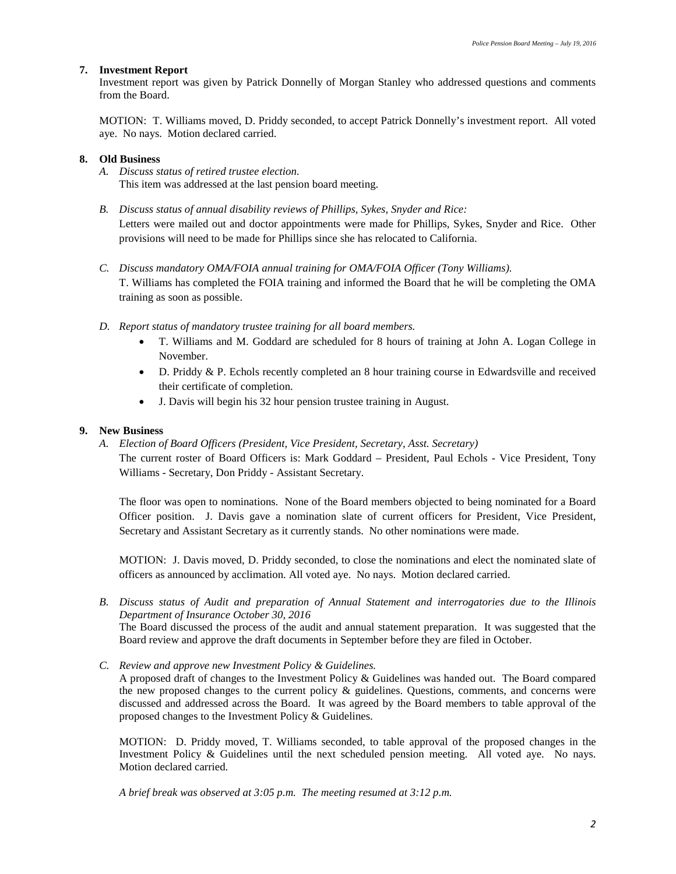### **7. Investment Report**

Investment report was given by Patrick Donnelly of Morgan Stanley who addressed questions and comments from the Board.

MOTION: T. Williams moved, D. Priddy seconded, to accept Patrick Donnelly's investment report. All voted aye. No nays. Motion declared carried.

### **8. Old Business**

- *A. Discuss status of retired trustee election.* This item was addressed at the last pension board meeting.
- *B. Discuss status of annual disability reviews of Phillips, Sykes, Snyder and Rice:* Letters were mailed out and doctor appointments were made for Phillips, Sykes, Snyder and Rice. Other provisions will need to be made for Phillips since she has relocated to California.
- *C. Discuss mandatory OMA/FOIA annual training for OMA/FOIA Officer (Tony Williams).* T. Williams has completed the FOIA training and informed the Board that he will be completing the OMA training as soon as possible.
- *D. Report status of mandatory trustee training for all board members.*
	- T. Williams and M. Goddard are scheduled for 8 hours of training at John A. Logan College in November.
	- D. Priddy & P. Echols recently completed an 8 hour training course in Edwardsville and received their certificate of completion.
	- J. Davis will begin his 32 hour pension trustee training in August.

### **9. New Business**

*A. Election of Board Officers (President, Vice President, Secretary, Asst. Secretary)*

The current roster of Board Officers is: Mark Goddard – President, Paul Echols - Vice President, Tony Williams - Secretary, Don Priddy - Assistant Secretary.

The floor was open to nominations. None of the Board members objected to being nominated for a Board Officer position. J. Davis gave a nomination slate of current officers for President, Vice President, Secretary and Assistant Secretary as it currently stands. No other nominations were made.

MOTION: J. Davis moved, D. Priddy seconded, to close the nominations and elect the nominated slate of officers as announced by acclimation. All voted aye. No nays. Motion declared carried.

*B. Discuss status of Audit and preparation of Annual Statement and interrogatories due to the Illinois Department of Insurance October 30, 2016* The Board discussed the process of the audit and annual statement preparation. It was suggested that the

Board review and approve the draft documents in September before they are filed in October.

*C. Review and approve new Investment Policy & Guidelines.*

A proposed draft of changes to the Investment Policy & Guidelines was handed out. The Board compared the new proposed changes to the current policy  $\&$  guidelines. Questions, comments, and concerns were discussed and addressed across the Board. It was agreed by the Board members to table approval of the proposed changes to the Investment Policy & Guidelines.

MOTION: D. Priddy moved, T. Williams seconded, to table approval of the proposed changes in the Investment Policy & Guidelines until the next scheduled pension meeting. All voted aye. No nays. Motion declared carried.

*A brief break was observed at 3:05 p.m. The meeting resumed at 3:12 p.m.*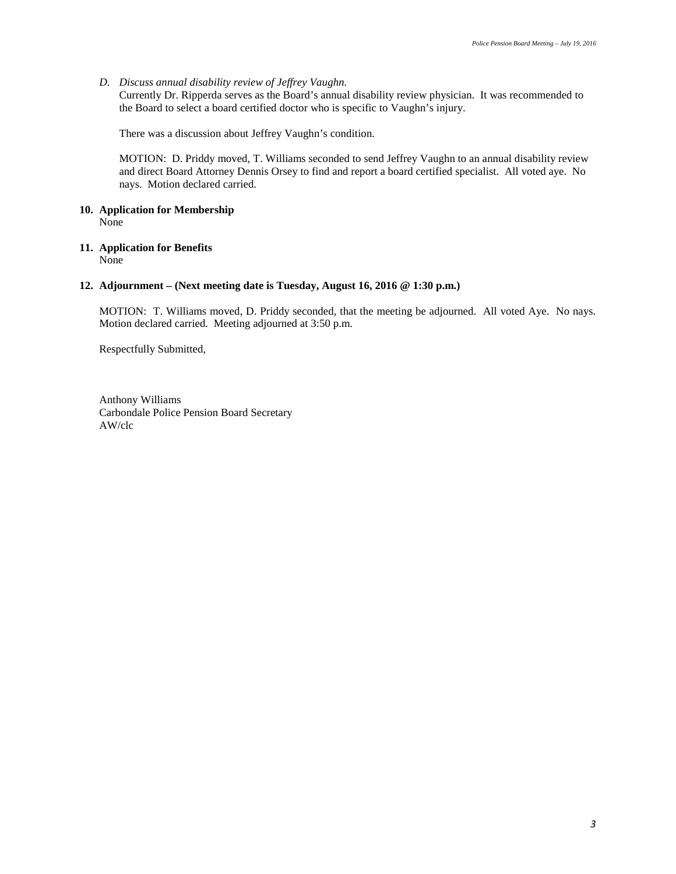### *D. Discuss annual disability review of Jeffrey Vaughn.*

Currently Dr. Ripperda serves as the Board's annual disability review physician. It was recommended to the Board to select a board certified doctor who is specific to Vaughn's injury.

There was a discussion about Jeffrey Vaughn's condition.

MOTION: D. Priddy moved, T. Williams seconded to send Jeffrey Vaughn to an annual disability review and direct Board Attorney Dennis Orsey to find and report a board certified specialist. All voted aye. No nays. Motion declared carried.

#### **10. Application for Membership** None

#### **11. Application for Benefits** None

### **12. Adjournment – (Next meeting date is Tuesday, August 16, 2016 @ 1:30 p.m.)**

MOTION: T. Williams moved, D. Priddy seconded, that the meeting be adjourned. All voted Aye. No nays. Motion declared carried. Meeting adjourned at 3:50 p.m.

Respectfully Submitted,

Anthony Williams Carbondale Police Pension Board Secretary AW/clc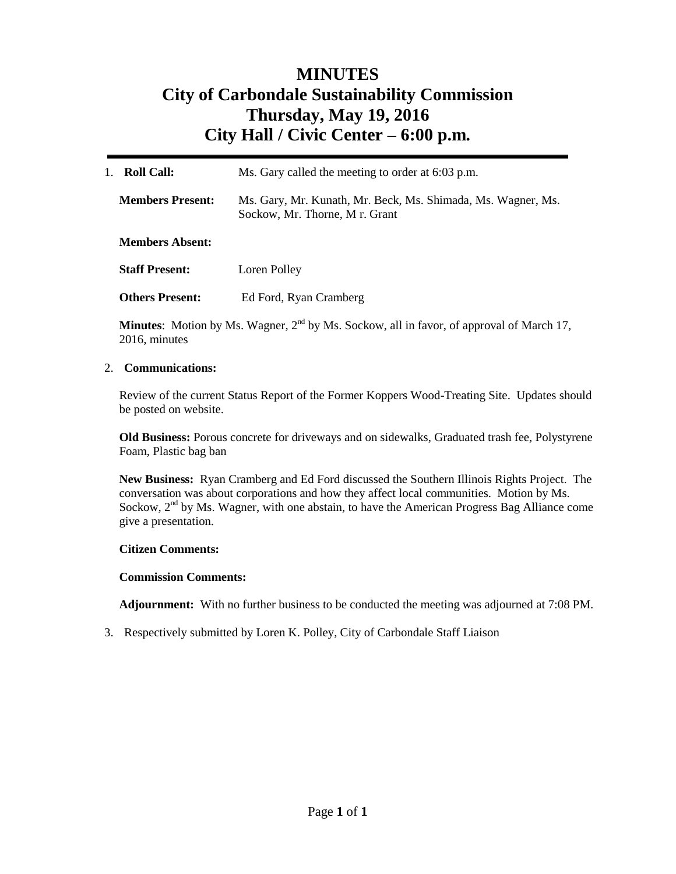# **MINUTES City of Carbondale Sustainability Commission Thursday, May 19, 2016 City Hall / Civic Center – 6:00 p.m***.*

| <b>Roll Call:</b><br>1. | Ms. Gary called the meeting to order at 6:03 p.m.                                             |
|-------------------------|-----------------------------------------------------------------------------------------------|
| <b>Members Present:</b> | Ms. Gary, Mr. Kunath, Mr. Beck, Ms. Shimada, Ms. Wagner, Ms.<br>Sockow, Mr. Thorne, Mr. Grant |
| <b>Members Absent:</b>  |                                                                                               |
| <b>Staff Present:</b>   | Loren Polley                                                                                  |
| <b>Others Present:</b>  | Ed Ford, Ryan Cramberg                                                                        |

**Minutes:** Motion by Ms. Wagner,  $2<sup>nd</sup>$  by Ms. Sockow, all in favor, of approval of March 17, 2016, minutes

## 2. **Communications:**

Review of the current Status Report of the Former Koppers Wood-Treating Site. Updates should be posted on website.

**Old Business:** Porous concrete for driveways and on sidewalks, Graduated trash fee, Polystyrene Foam, Plastic bag ban

**New Business:** Ryan Cramberg and Ed Ford discussed the Southern Illinois Rights Project. The conversation was about corporations and how they affect local communities. Motion by Ms. Sockow,  $2<sup>nd</sup>$  by Ms. Wagner, with one abstain, to have the American Progress Bag Alliance come give a presentation.

## **Citizen Comments:**

## **Commission Comments:**

**Adjournment:** With no further business to be conducted the meeting was adjourned at 7:08 PM.

3. Respectively submitted by Loren K. Polley, City of Carbondale Staff Liaison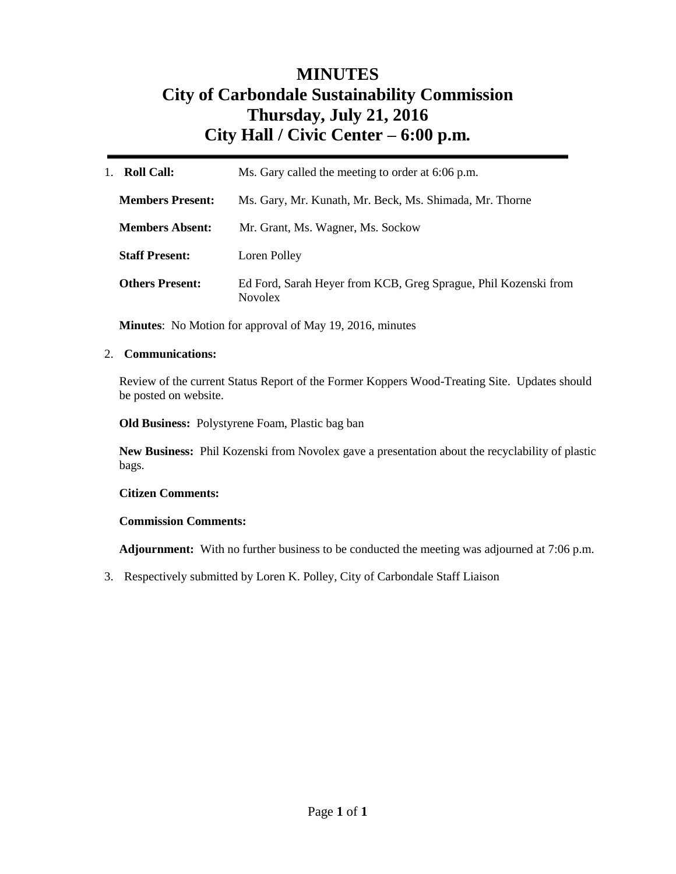# **MINUTES City of Carbondale Sustainability Commission Thursday, July 21, 2016 City Hall / Civic Center – 6:00 p.m***.*

| <b>Roll Call:</b><br>$1_{-}$ | Ms. Gary called the meeting to order at 6:06 p.m.                                 |  |
|------------------------------|-----------------------------------------------------------------------------------|--|
| <b>Members Present:</b>      | Ms. Gary, Mr. Kunath, Mr. Beck, Ms. Shimada, Mr. Thorne                           |  |
| <b>Members Absent:</b>       | Mr. Grant, Ms. Wagner, Ms. Sockow                                                 |  |
| <b>Staff Present:</b>        | Loren Polley                                                                      |  |
| <b>Others Present:</b>       | Ed Ford, Sarah Heyer from KCB, Greg Sprague, Phil Kozenski from<br><b>Novolex</b> |  |

**Minutes**: No Motion for approval of May 19, 2016, minutes

## 2. **Communications:**

Review of the current Status Report of the Former Koppers Wood-Treating Site. Updates should be posted on website.

**Old Business:** Polystyrene Foam, Plastic bag ban

**New Business:** Phil Kozenski from Novolex gave a presentation about the recyclability of plastic bags.

## **Citizen Comments:**

## **Commission Comments:**

**Adjournment:** With no further business to be conducted the meeting was adjourned at 7:06 p.m.

3. Respectively submitted by Loren K. Polley, City of Carbondale Staff Liaison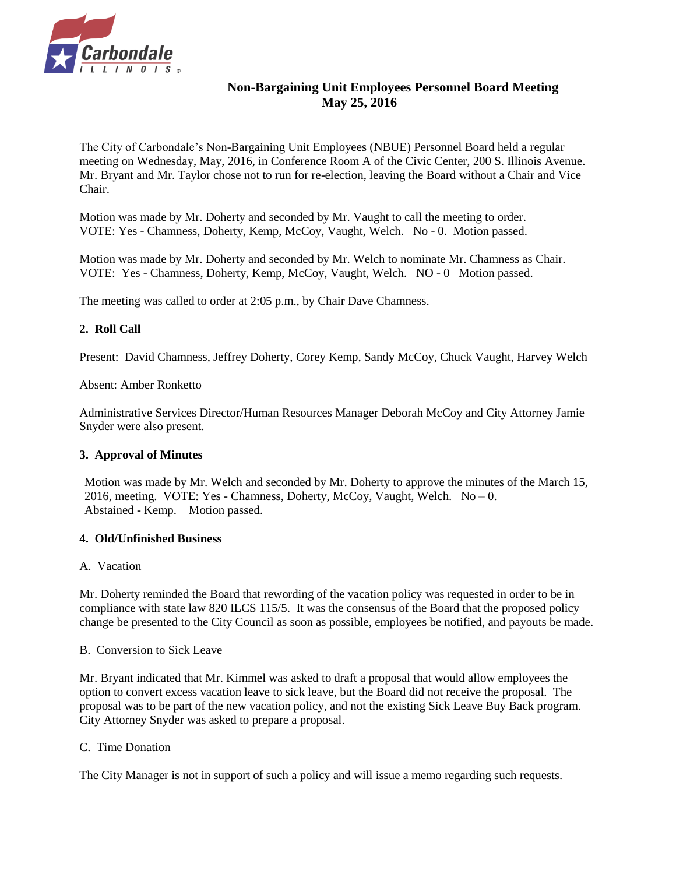

# **Non-Bargaining Unit Employees Personnel Board Meeting May 25, 2016**

The City of Carbondale's Non-Bargaining Unit Employees (NBUE) Personnel Board held a regular meeting on Wednesday, May, 2016, in Conference Room A of the Civic Center, 200 S. Illinois Avenue. Mr. Bryant and Mr. Taylor chose not to run for re-election, leaving the Board without a Chair and Vice Chair.

Motion was made by Mr. Doherty and seconded by Mr. Vaught to call the meeting to order. VOTE: Yes - Chamness, Doherty, Kemp, McCoy, Vaught, Welch. No - 0. Motion passed.

Motion was made by Mr. Doherty and seconded by Mr. Welch to nominate Mr. Chamness as Chair. VOTE: Yes - Chamness, Doherty, Kemp, McCoy, Vaught, Welch. NO - 0 Motion passed.

The meeting was called to order at 2:05 p.m., by Chair Dave Chamness.

## **2. Roll Call**

Present: David Chamness, Jeffrey Doherty, Corey Kemp, Sandy McCoy, Chuck Vaught, Harvey Welch

Absent: Amber Ronketto

Administrative Services Director/Human Resources Manager Deborah McCoy and City Attorney Jamie Snyder were also present.

## **3. Approval of Minutes**

Motion was made by Mr. Welch and seconded by Mr. Doherty to approve the minutes of the March 15, 2016, meeting. VOTE: Yes - Chamness, Doherty, McCoy, Vaught, Welch.  $No - 0$ . Abstained - Kemp. Motion passed.

## **4. Old/Unfinished Business**

## A. Vacation

Mr. Doherty reminded the Board that rewording of the vacation policy was requested in order to be in compliance with state law 820 ILCS 115/5. It was the consensus of the Board that the proposed policy change be presented to the City Council as soon as possible, employees be notified, and payouts be made.

## B. Conversion to Sick Leave

Mr. Bryant indicated that Mr. Kimmel was asked to draft a proposal that would allow employees the option to convert excess vacation leave to sick leave, but the Board did not receive the proposal. The proposal was to be part of the new vacation policy, and not the existing Sick Leave Buy Back program. City Attorney Snyder was asked to prepare a proposal.

## C. Time Donation

The City Manager is not in support of such a policy and will issue a memo regarding such requests.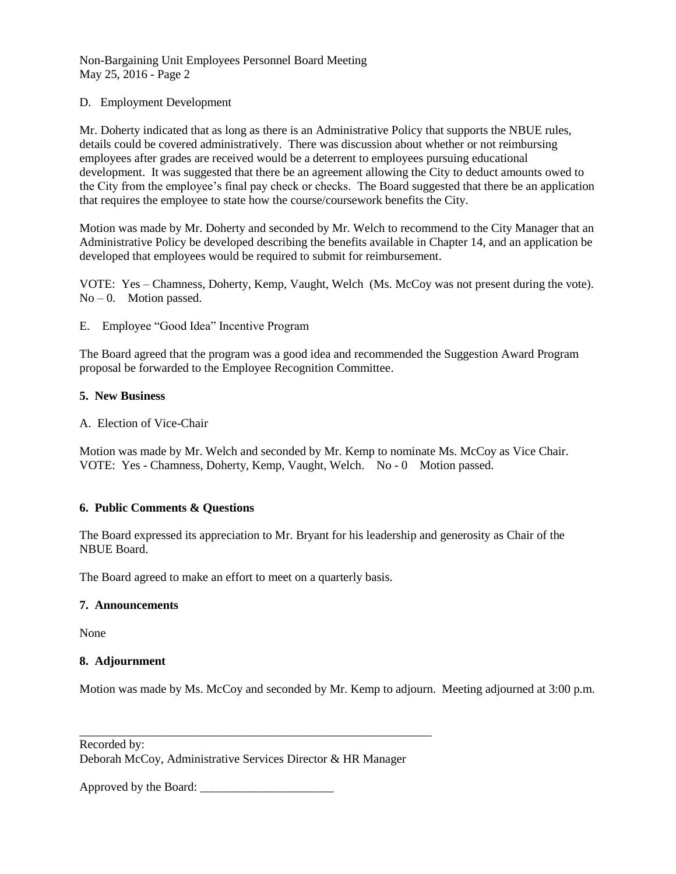Non-Bargaining Unit Employees Personnel Board Meeting May 25, 2016 - Page 2

## D. Employment Development

Mr. Doherty indicated that as long as there is an Administrative Policy that supports the NBUE rules, details could be covered administratively. There was discussion about whether or not reimbursing employees after grades are received would be a deterrent to employees pursuing educational development. It was suggested that there be an agreement allowing the City to deduct amounts owed to the City from the employee's final pay check or checks. The Board suggested that there be an application that requires the employee to state how the course/coursework benefits the City.

Motion was made by Mr. Doherty and seconded by Mr. Welch to recommend to the City Manager that an Administrative Policy be developed describing the benefits available in Chapter 14, and an application be developed that employees would be required to submit for reimbursement.

VOTE: Yes – Chamness, Doherty, Kemp, Vaught, Welch (Ms. McCoy was not present during the vote).  $No - 0$ . Motion passed.

E. Employee "Good Idea" Incentive Program

The Board agreed that the program was a good idea and recommended the Suggestion Award Program proposal be forwarded to the Employee Recognition Committee.

## **5. New Business**

A. Election of Vice-Chair

Motion was made by Mr. Welch and seconded by Mr. Kemp to nominate Ms. McCoy as Vice Chair. VOTE: Yes - Chamness, Doherty, Kemp, Vaught, Welch. No - 0 Motion passed.

## **6. Public Comments & Questions**

The Board expressed its appreciation to Mr. Bryant for his leadership and generosity as Chair of the NBUE Board.

The Board agreed to make an effort to meet on a quarterly basis.

## **7. Announcements**

None

## **8. Adjournment**

Motion was made by Ms. McCoy and seconded by Mr. Kemp to adjourn. Meeting adjourned at 3:00 p.m.

Recorded by: Deborah McCoy, Administrative Services Director & HR Manager

\_\_\_\_\_\_\_\_\_\_\_\_\_\_\_\_\_\_\_\_\_\_\_\_\_\_\_\_\_\_\_\_\_\_\_\_\_\_\_\_\_\_\_\_\_\_\_\_\_\_\_\_\_\_\_\_\_\_

Approved by the Board: \_\_\_\_\_\_\_\_\_\_\_\_\_\_\_\_\_\_\_\_\_\_